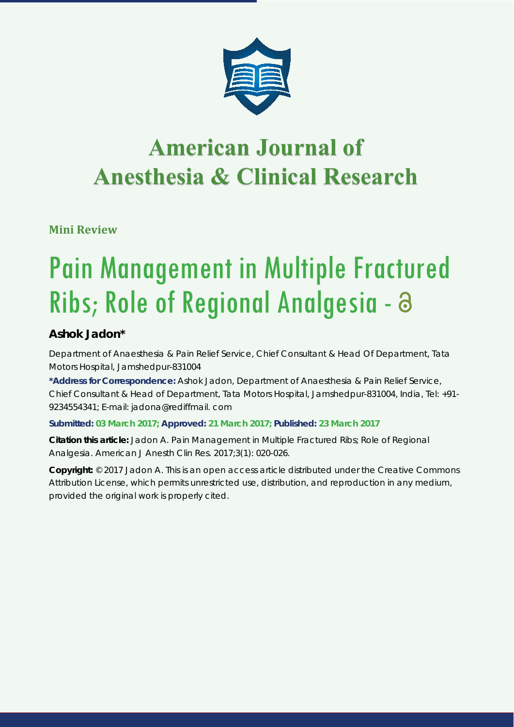

# **American Journal of Anesthesia & Clinical Research Anesthesia & Clinical Research**

**Mini Review**

# Pain Management in Multiple Fractured Ribs; Role of Regional Analgesia -

# **Ashok Jadon\***

*Department of Anaesthesia & Pain Relief Service, Chief Consultant & Head Of Department, Tata Motors Hospital, Jamshedpur-831004*

**\*Address for Correspondence:** Ashok Jadon, Department of Anaesthesia & Pain Relief Service, Chief Consultant & Head of Department, Tata Motors Hospital, Jamshedpur-831004, India, Tel: +91- 9234554341; E-mail: jadona@rediffmail. com

## **Submitted: 03 March 2017; Approved: 21 March 2017; Published: 23 March 2017**

**Citation this article:** Jadon A. Pain Management in Multiple Fractured Ribs; Role of Regional Analgesia. American J Anesth Clin Res. 2017;3(1): 020-026.

**Copyright:** © 2017 Jadon A. This is an open access article distributed under the Creative Commons Attribution License, which permits unrestricted use, distribution, and reproduction in any medium, provided the original work is properly cited.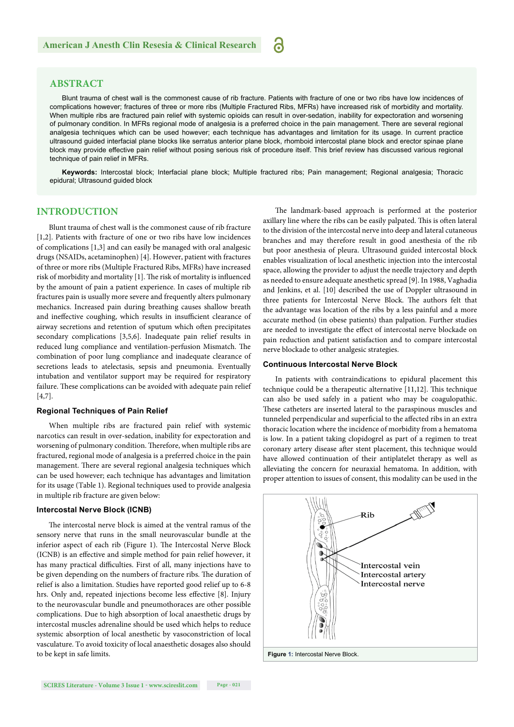**ABSTRACT**

Blunt trauma of chest wall is the commonest cause of rib fracture. Patients with fracture of one or two ribs have low incidences of complications however; fractures of three or more ribs (Multiple Fractured Ribs, MFRs) have increased risk of morbidity and mortality. When multiple ribs are fractured pain relief with systemic opioids can result in over-sedation, inability for expectoration and worsening of pulmonary condition. In MFRs regional mode of analgesia is a preferred choice in the pain management. There are several regional analgesia techniques which can be used however; each technique has advantages and limitation for its usage. In current practice ultrasound guided interfacial plane blocks like serratus anterior plane block, rhomboid intercostal plane block and erector spinae plane block may provide effective pain relief without posing serious risk of procedure itself. This brief review has discussed various regional technique of pain relief in MFRs.

a

**Keywords:** Intercostal block; Interfacial plane block; Multiple fractured ribs; Pain management; Regional analgesia; Thoracic epidural; Ultrasound guided block

#### **INTRODUCTION**

Blunt trauma of chest wall is the commonest cause of rib fracture [1,2]. Patients with fracture of one or two ribs have low incidences of complications [1,3] and can easily be managed with oral analgesic drugs (NSAIDs, acetaminophen) [4]. However, patient with fractures of three or more ribs (Multiple Fractured Ribs, MFRs) have increased risk of morbidity and mortality [1]. The risk of mortality is influenced by the amount of pain a patient experience. In cases of multiple rib fractures pain is usually more severe and frequently alters pulmonary mechanics. Increased pain during breathing causes shallow breath and ineffective coughing, which results in insufficient clearance of airway secretions and retention of sputum which often precipitates secondary complications [3,5,6]. Inadequate pain relief results in reduced lung compliance and ventilation-perfusion Mismatch. The combination of poor lung compliance and inadequate clearance of secretions leads to atelectasis, sepsis and pneumonia. Eventually intubation and ventilator support may be required for respiratory failure. These complications can be avoided with adequate pain relief [4,7].

#### **Regional Techniques of Pain Relief**

When multiple ribs are fractured pain relief with systemic narcotics can result in over-sedation, inability for expectoration and worsening of pulmonary condition. Therefore, when multiple ribs are fractured, regional mode of analgesia is a preferred choice in the pain management. There are several regional analgesia techniques which can be used however; each technique has advantages and limitation for its usage (Table 1). Regional techniques used to provide analgesia in multiple rib fracture are given below:

#### **Intercostal Nerve Block (ICNB)**

The intercostal nerve block is aimed at the ventral ramus of the sensory nerve that runs in the small neurovascular bundle at the inferior aspect of each rib (Figure 1). The Intercostal Nerve Block (ICNB) is an effective and simple method for pain relief however, it has many practical difficulties. First of all, many injections have to be given depending on the numbers of fracture ribs. The duration of relief is also a limitation. Studies have reported good relief up to 6-8 hrs. Only and, repeated injections become less effective [8]. Injury to the neurovascular bundle and pneumothoraces are other possible complications. Due to high absorption of local anaesthetic drugs by intercostal muscles adrenaline should be used which helps to reduce systemic absorption of local anesthetic by vasoconstriction of local vasculature. To avoid toxicity of local anaesthetic dosages also should to be kept in safe limits.

The landmark-based approach is performed at the posterior axillary line where the ribs can be easily palpated. This is often lateral to the division of the intercostal nerve into deep and lateral cutaneous branches and may therefore result in good anesthesia of the rib but poor anesthesia of pleura. Ultrasound guided intercostal block enables visualization of local anesthetic injection into the intercostal space, allowing the provider to adjust the needle trajectory and depth as needed to ensure adequate anesthetic spread [9]. In 1988, Vaghadia and Jenkins, et al. [10] described the use of Doppler ultrasound in three patients for Intercostal Nerve Block. The authors felt that the advantage was location of the ribs by a less painful and a more accurate method (in obese patients) than palpation. Further studies are needed to investigate the effect of intercostal nerve blockade on pain reduction and patient satisfaction and to compare intercostal nerve blockade to other analgesic strategies.

#### **Continuous Intercostal Nerve Block**

In patients with contraindications to epidural placement this technique could be a therapeutic alternative  $[11,12]$ . This technique can also be used safely in a patient who may be coagulopathic. These catheters are inserted lateral to the paraspinous muscles and tunneled perpendicular and superficial to the affected ribs in an extra thoracic location where the incidence of morbidity from a hematoma is low. In a patient taking clopidogrel as part of a regimen to treat coronary artery disease after stent placement, this technique would have allowed continuation of their antiplatelet therapy as well as alleviating the concern for neuraxial hematoma. In addition, with proper attention to issues of consent, this modality can be used in the

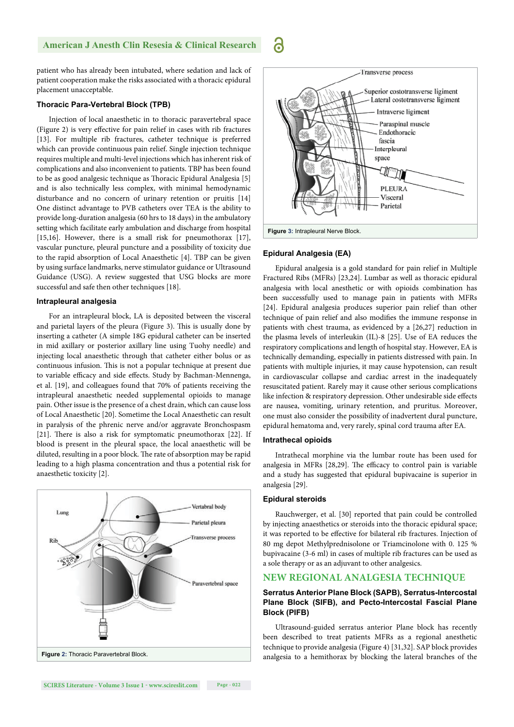patient who has already been intubated, where sedation and lack of patient cooperation make the risks associated with a thoracic epidural placement unacceptable.

#### **Thoracic Para-Vertebral Block (TPB)**

Injection of local anaesthetic in to thoracic paravertebral space (Figure 2) is very effective for pain relief in cases with rib fractures [13]. For multiple rib fractures, catheter technique is preferred which can provide continuous pain relief. Single injection technique requires multiple and multi-level injections which has inherent risk of complications and also inconvenient to patients. TBP has been found to be as good analgesic technique as Thoracic Epidural Analgesia [5] and is also technically less complex, with minimal hemodynamic disturbance and no concern of urinary retention or pruitis [14] One distinct advantage to PVB catheters over TEA is the ability to provide long-duration analgesia (60 hrs to 18 days) in the ambulatory setting which facilitate early ambulation and discharge from hospital [15,16]. However, there is a small risk for pneumothorax [17], vascular puncture, pleural puncture and a possibility of toxicity due to the rapid absorption of Local Anaesthetic [4]. TBP can be given by using surface landmarks, nerve stimulator guidance or Ultrasound Guidance (USG). A review suggested that USG blocks are more successful and safe then other techniques [18].

#### **Intrapleural analgesia**

For an intrapleural block, LA is deposited between the visceral and parietal layers of the pleura (Figure 3). This is usually done by inserting a catheter (A simple 18G epidural catheter can be inserted in mid axillary or posterior axillary line using Tuohy needle) and injecting local anaesthetic through that catheter either bolus or as continuous infusion. This is not a popular technique at present due to variable efficacy and side effects. Study by Bachman-Mennenga, et al. [19], and colleagues found that 70% of patients receiving the intrapleural anaesthetic needed supplemental opioids to manage pain. Other issue is the presence of a chest drain, which can cause loss of Local Anaesthetic [20]. Sometime the Local Anaesthetic can result in paralysis of the phrenic nerve and/or aggravate Bronchospasm [21]. There is also a risk for symptomatic pneumothorax [22]. If blood is present in the pleural space, the local anaesthetic will be diluted, resulting in a poor block. The rate of absorption may be rapid leading to a high plasma concentration and thus a potential risk for anaesthetic toxicity [2].





#### **Epidural Analgesia (EA)**

Epidural analgesia is a gold standard for pain relief in Multiple Fractured Ribs (MFRs) [23,24]. Lumbar as well as thoracic epidural analgesia with local anesthetic or with opioids combination has been successfully used to manage pain in patients with MFRs [24]. Epidural analgesia produces superior pain relief than other technique of pain relief and also modifies the immune response in patients with chest trauma, as evidenced by a [26,27] reduction in the plasma levels of interleukin (IL)-8 [25]. Use of EA reduces the respiratory complications and length of hospital stay. However, EA is technically demanding, especially in patients distressed with pain. In patients with multiple injuries, it may cause hypotension, can result in cardiovascular collapse and cardiac arrest in the inadequately resuscitated patient. Rarely may it cause other serious complications like infection & respiratory depression. Other undesirable side effects are nausea, vomiting, urinary retention, and pruritus. Moreover, one must also consider the possibility of inadvertent dural puncture, epidural hematoma and, very rarely, spinal cord trauma after EA.

#### **Intrathecal opioids**

Intrathecal morphine via the lumbar route has been used for analgesia in MFRs [28,29]. The efficacy to control pain is variable and a study has suggested that epidural bupivacaine is superior in analgesia [29].

#### **Epidural steroids**

Rauchwerger, et al. [30] reported that pain could be controlled by injecting anaesthetics or steroids into the thoracic epidural space; it was reported to be effective for bilateral rib fractures. Injection of 80 mg depot Methylprednisolone or Triamcinolone with 0. 125 % bupivacaine (3-6 ml) in cases of multiple rib fractures can be used as a sole therapy or as an adjuvant to other analgesics.

#### **NEW REGIONAL ANALGESIA TECHNIQUE**

#### **Serratus Anterior Plane Block (SAPB), Serratus-Intercostal Plane Block (SIFB), and Pecto-Intercostal Fascial Plane Block (PIFB)**

Ultrasound-guided serratus anterior Plane block has recently been described to treat patients MFRs as a regional anesthetic technique to provide analgesia (Figure 4) [31,32]. SAP block provides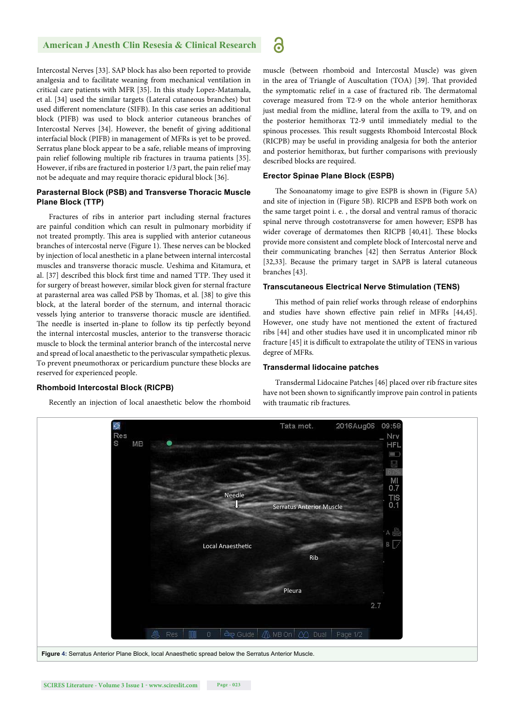Intercostal Nerves [33]. SAP block has also been reported to provide analgesia and to facilitate weaning from mechanical ventilation in critical care patients with MFR [35]. In this study Lopez-Matamala, et al. [34] used the similar targets (Lateral cutaneous branches) but used different nomenclature (SIFB). In this case series an additional block (PIFB) was used to block anterior cutaneous branches of Intercostal Nerves [34]. However, the benefit of giving additional interfacial block (PIFB) in management of MFRs is yet to be proved. Serratus plane block appear to be a safe, reliable means of improving pain relief following multiple rib fractures in trauma patients [35]. However, if ribs are fractured in posterior 1/3 part, the pain relief may not be adequate and may require thoracic epidural block [36].

#### **Parasternal Block (PSB) and Transverse Thoracic Muscle Plane Block (TTP)**

Fractures of ribs in anterior part including sternal fractures are painful condition which can result in pulmonary morbidity if not treated promptly. This area is supplied with anterior cutaneous branches of intercostal nerve (Figure 1). These nerves can be blocked by injection of local anesthetic in a plane between internal intercostal muscles and transverse thoracic muscle. Ueshima and Kitamura, et al. [37] described this block first time and named TTP. They used it for surgery of breast however, similar block given for sternal fracture at parasternal area was called PSB by Thomas, et al. [38] to give this block, at the lateral border of the sternum, and internal thoracic vessels lying anterior to transverse thoracic muscle are identified. The needle is inserted in-plane to follow its tip perfectly beyond the internal intercostal muscles, anterior to the transverse thoracic muscle to block the terminal anterior branch of the intercostal nerve and spread of local anaesthetic to the perivascular sympathetic plexus. To prevent pneumothorax or pericardium puncture these blocks are reserved for experienced people.

#### **Rhomboid Intercostal Block (RICPB)**

Recently an injection of local anaesthetic below the rhomboid

muscle (between rhomboid and Intercostal Muscle) was given in the area of Triangle of Auscultation (TOA) [39]. That provided the symptomatic relief in a case of fractured rib. The dermatomal coverage measured from T2-9 on the whole anterior hemithorax just medial from the midline, lateral from the axilla to T9, and on the posterior hemithorax T2-9 until immediately medial to the spinous processes. This result suggests Rhomboid Intercostal Block (RICPB) may be useful in providing analgesia for both the anterior and posterior hemithorax, but further comparisons with previously described blocks are required.

#### **Erector Spinae Plane Block (ESPB)**

6

The Sonoanatomy image to give ESPB is shown in (Figure 5A) and site of injection in (Figure 5B). RICPB and ESPB both work on the same target point i. e. , the dorsal and ventral ramus of thoracic spinal nerve through costotransverse for amen however; ESPB has wider coverage of dermatomes then RICPB [40,41]. These blocks provide more consistent and complete block of Intercostal nerve and their communicating branches [42] then Serratus Anterior Block [32,33]. Because the primary target in SAPB is lateral cutaneous branches [43].

#### **Transcutaneous Electrical Nerve Stimulation (TENS)**

This method of pain relief works through release of endorphins and studies have shown effective pain relief in MFRs [44,45]. However, one study have not mentioned the extent of fractured ribs [44] and other studies have used it in uncomplicated minor rib fracture [45] it is difficult to extrapolate the utility of TENS in various degree of MFRs.

#### **Transdermal lidocaine patches**

Transdermal Lidocaine Patches [46] placed over rib fracture sites have not been shown to significantly improve pain control in patients with traumatic rib fractures.

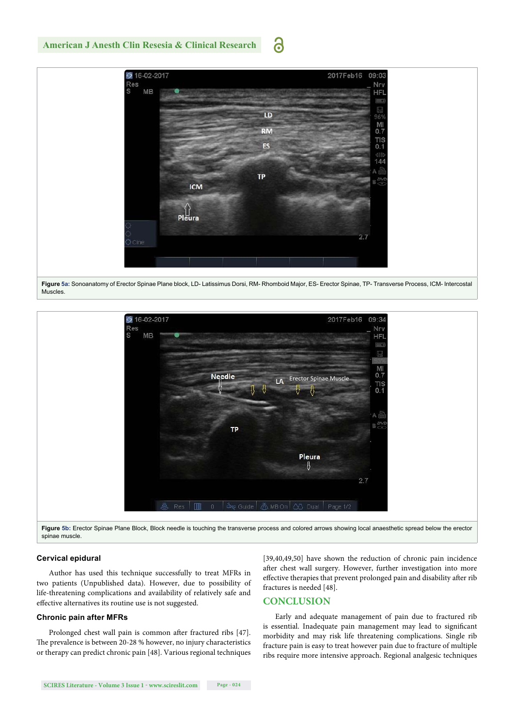#### MB

**American J Anesth Clin Resesia & Clinical Research**

5 16-02-201







Figure 5b: Erector Spinae Plane Block, Block needle is touching the transverse process and colored arrows showing local anaesthetic spread below the erector spinae muscle.

#### **Cervical epidural**

Author has used this technique successfully to treat MFRs in two patients (Unpublished data). However, due to possibility of life-threatening complications and availability of relatively safe and effective alternatives its routine use is not suggested.

#### **Chronic pain after MFRs**

Prolonged chest wall pain is common after fractured ribs [47]. The prevalence is between 20-28 % however, no injury characteristics or therapy can predict chronic pain [48]. Various regional techniques

[39,40,49,50] have shown the reduction of chronic pain incidence after chest wall surgery. However, further investigation into more effective therapies that prevent prolonged pain and disability after rib fractures is needed [48].

#### **CONCLUSION**

Early and adequate management of pain due to fractured rib is essential. Inadequate pain management may lead to significant morbidity and may risk life threatening complications. Single rib fracture pain is easy to treat however pain due to fracture of multiple ribs require more intensive approach. Regional analgesic techniques

### ခြ

LD

**RM** 

**ES** 

TP

**ICM** 

2017Feb16

 $09:03$ Nry

HF

M

 $0.7$ **TIS** 

 $0.1$  $1A$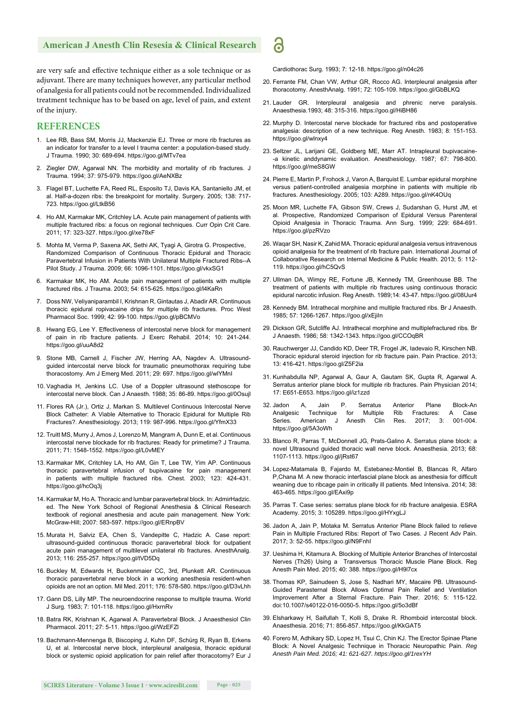are very safe and effective technique either as a sole technique or as adjuvant. There are many techniques however, any particular method of analgesia for all patients could not be recommended. Individualized treatment technique has to be based on age, level of pain, and extent of the injury.

#### **REFERENCES**

- 1. Lee RB, Bass SM, Morris JJ, Mackenzie EJ. Three or more rib fractures as an indicator for transfer to a level I trauma center: a population-based study. J Trauma. 1990; 30: 689-694. https://goo.gl/MTv7ea
- 2. Ziegler DW, Agarwal NN. The morbidity and mortality of rib fractures. J Trauma. 1994; 37: 975-979. https://goo.gl/AeNXBz
- 3. Flagel BT, Luchette FA, Reed RL, Esposito TJ, Davis KA, Santaniello JM, et al. Half-a-dozen ribs: the breakpoint for mortality. Surgery. 2005; 138: 717- 723. https://goo.gl/LtkB56
- 4. Ho AM, Karmakar MK, Critchley LA. Acute pain management of patients with multiple fractured ribs: a focus on regional techniques. Curr Opin Crit Care. 2011; 17: 323-327. https://goo.gl/xe78xF
- 5. Mohta M, Verma P, Saxena AK, Sethi AK, Tyagi A, Girotra G. Prospective, Randomized Comparison of Continuous Thoracic Epidural and Thoracic Paravertebral Infusion in Patients With Unilateral Multiple Fractured Ribs--A Pilot Study. J Trauma. 2009; 66: 1096-1101. https://goo.gl/vkxSG1
- 6. Karmakar MK, Ho AM. Acute pain management of patients with multiple fractured ribs. J Trauma. 2003; 54: 615-625. https://goo.gl/l4KaRn
- 7. Doss NW, Veliyaniparambil I, Krishnan R, Gintautas J, Abadir AR. Continuous thoracic epidural ropivacaine drips for multiple rib fractures. Proc West Pharmacol Soc. 1999; 42: 99-100. https://goo.gl/pBCMVo
- 8. Hwang EG, Lee Y. Effectiveness of intercostal nerve block for management of pain in rib fracture patients. J Exerc Rehabil. 2014; 10: 241-244. https://goo.gl/uuA8d2
- 9. Stone MB, Carnell J, Fischer JW, Herring AA, Nagdev A. Ultrasoundguided intercostal nerve block for traumatic pneumothorax requiring tube thoracostomy. Am J Emerg Med. 2011; 29: 697. https://goo.gl/wlYMnI
- 10. Vaghadia H, Jenkins LC. Use of a Doppler ultrasound stethoscope for intercostal nerve block. Can J Anaesth. 1988; 35: 86-89. https://goo.gl/0Osujl
- 11. Flores RA (Jr.), Ortiz J, Markan S. Multilevel Continuous Intercostal Nerve Block Catheter: A Viable Alternative to Thoracic Epidural for Multiple Rib Fractures?. Anesthesiology. 2013; 119: 987-996. https://goo.gl/YfmX33
- 12. Truitt MS, Murry J, Amos J, Lorenzo M, Mangram A, Dunn E, et al. Continuous intercostal nerve blockade for rib fractures: Ready for primetime? J Trauma. 2011; 71: 1548-1552. https://goo.gl/L0vMEY
- 13. Karmakar MK, Critchley LA, Ho AM, Gin T, Lee TW, Yim AP. Continuous thoracic paravertebral infusion of bupivacaine for pain management in patients with multiple fractured ribs. Chest. 2003; 123: 424-431. https://goo.gl/hcOq3j
- 14. Karmakar M, Ho A. Thoracic and lumbar paravertebral block. In: AdmirHadzic. ed. The New York School of Regional Anesthesia & Clinical Research textbook of regional anesthesia and acute pain management. New York: McGraw-Hill; 2007: 583-597. https://goo.gl/ERnpBV
- 15. Murata H, Salviz EA, Chen S, Vandepitte C, Hadzic A. Case report: ultrasound-guided continuous thoracic paravertebral block for outpatient acute pain management of multilevel unilateral rib fractures. AnesthAnalg. 2013; 116: 255-257. https://goo.gl/tVD5Dq
- 16. Buckley M, Edwards H, Buckenmaier CC, 3rd, Plunkett AR. Continuous thoracic paravertebral nerve block in a working anesthesia resident-when opioids are not an option. Mil Med. 2011; 176: 578-580. https://goo.gl/D3vLhh
- 17. Gann DS, Lilly MP. The neuroendocrine response to multiple trauma. World J Surg. 1983; 7: 101-118. https://goo.gl/HxrnRv
- 18. Batra RK, Krishnan K, Agarwal A. Paravertebral Block. J Anaesthesiol Clin Pharmacol. 2011; 27: 5-11. https://goo.gl/WzEFZl
- 19. Bachmann-Mennenga B, Biscoping J, Kuhn DF, Schürg R, Ryan B, Erkens U, et al. Intercostal nerve block, interpleural analgesia, thoracic epidural block or systemic opioid application for pain relief after thoracotomy? Eur J

Cardiothorac Surg. 1993; 7: 12-18. https://goo.gl/n04c26

 $\ddot{\mathbf{c}}$ 

- 20. Ferrante FM, Chan VW, Arthur GR, Rocco AG. Interpleural analgesia after thoracotomy. AnesthAnalg. 1991; 72: 105-109. https://goo.gl/GbBLKQ
- 21. Lauder GR. Interpleural analgesia and phrenic nerve paralysis. Anaesthesia.1993; 48: 315-316. https://goo.gl/HiBH86
- 22. Murphy D. Intercostal nerve blockade for fractured ribs and postoperative analgesia: description of a new technique. Reg Anesth. 1983; 8: 151-153. https://goo.gl/wlnxy4
- 23. Seltzer JL, Larijani GE, Goldberg ME, Marr AT. Intrapleural bupivacaine- -a kinetic anddynamic evaluation. Anesthesiology. 1987; 67: 798-800. https://goo.gl/meS8GW
- 24. Pierre E, Martin P, Frohock J, Varon A, Barquist E. Lumbar epidural morphine versus patient-controlled analgesia morphine in patients with multiple rib fractures. Anesthesiology. 2005; 103: A289. https://goo.gl/nK4OUq
- 25. Moon MR, Luchette FA, Gibson SW, Crews J, Sudarshan G, Hurst JM, et al. Prospective, Randomized Comparison of Epidural Versus Parenteral Opioid Analgesia in Thoracic Trauma. Ann Surg. 1999; 229: 684-691. https://goo.gl/pzRVzo
- 26. Waqar SH, Nasir K, Zahid MA. Thoracic epidural analgesia versus intravenous opioid analgesia for the treatment of rib fracture pain. International Journal of Collaborative Research on Internal Medicine & Public Health. 2013; 5: 112- 119. https://goo.gl/hC5QvS
- 27. Ullman DA, Wimpy RE, Fortune JB, Kennedy TM, Greenhouse BB. The treatment of patients with multiple rib fractures using continuous thoracic epidural narcotic infusion. Reg Anesth. 1989;14: 43-47. https://goo.gl/08Uur4
- 28. Kennedy BM. Intrathecal morphine and multiple fractured ribs. Br J Anaesth. 1985; 57: 1266-1267. https://goo.gl/xEjiIn
- 29. Dickson GR, Sutcliffe AJ. Intrathecal morphine and multiplefractured ribs. Br J Anaesth. 1986; 58: 1342-1343. https://goo.gl/CCOqBR
- 30. Rauchwerger JJ, Candido KD, Deer TR, Frogel JK, Iadevaio R, Kirschen NB. Thoracic epidural steroid injection for rib fracture pain. Pain Practice. 2013; 13: 416-421. https://goo.gl/Z5F2ia
- 31. Kunhabdulla NP, Agarwal A, Gaur A, Gautam SK, Gupta R, Agarwal A. Serratus anterior plane block for multiple rib fractures. Pain Physician 2014; 17: E651-E653. https://goo.gl/iz1zzd
- 32. Jadon A, Jain P. Serratus Anterior Plane Block-An Analgesic Technique for Multiple Rib Fractures: A Case Series. American J Anesth Clin Res. 2017; 3: 001-004. https://goo.gl/5A3oWh
- 33. Blanco R, Parras T, McDonnell JG, Prats-Galino A. Serratus plane block: a novel Ultrasound guided thoracic wall nerve block. Anaesthesia. 2013; 68: 1107-1113. https://goo.gl/jRst67
- 34. Lopez-Matamala B, Fajardo M, Estebanez-Montiel B, Blancas R, Alfaro P, Chana M. A new thoracic interfascial plane block as anesthesia for difficult weaning due to ribcage pain in critically ill patients. Med Intensiva. 2014; 38: 463-465. https://goo.gl/EAxi9p
- 35. Parras T. Case series: serratus plane block for rib fracture analgesia. ESRA Academy. 2015; 3: 105289. https://goo.gl/HYxgLJ
- 36. Jadon A, Jain P, Motaka M. Serratus Anterior Plane Block failed to relieve Pain in Multiple Fractured Ribs: Report of Two Cases. J Recent Adv Pain. 2017; 3: 52-55. https://goo.gl/N9FnhI
- 37. Ueshima H, Kitamura A. Blocking of Multiple Anterior Branches of Intercostal Nerves (Th26) Using a Transversus Thoracic Muscle Plane Block. Reg Anesth Pain Med. 2015; 40: 388. https://goo.gl/H9l7cx
- 38. Thomas KP, Sainudeen S, Jose S, Nadhari MY, Macaire PB. Ultrasound-Guided Parasternal Block Allows Optimal Pain Relief and Ventilation Improvement After a Sternal Fracture. Pain Ther. 2016; 5: 115-122. doi:10.1007/s40122-016-0050-5. https://goo.gl/5o3dBf
- 39. Elsharkawy H, Saifullah T, Kolli S, Drake R. Rhomboid intercostal block. Anaesthesia. 2016; 71: 856-857. https://goo.gl/KkGAT5
- 40. Forero M, Adhikary SD, Lopez H, Tsui C, Chin KJ. The Erector Spinae Plane Block: A Novel Analgesic Technique in Thoracic Neuropathic Pain. *Reg Anesth Pain Med. 2016; 41: 621-627. https://goo.gl/1rexYH*